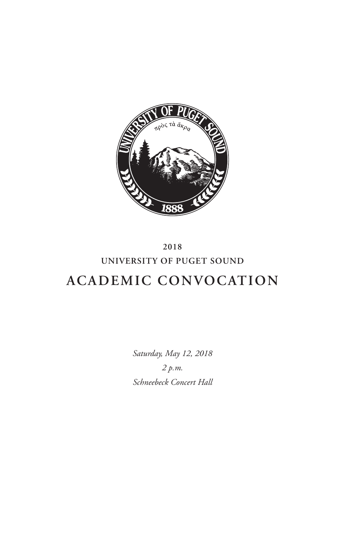

# **2018 UNIVERSITY OF PUGET SOUND ACADEMIC CONVOCATION**

*Saturday, May 12, 2018 2 p.m. Schneebeck Concert Hall*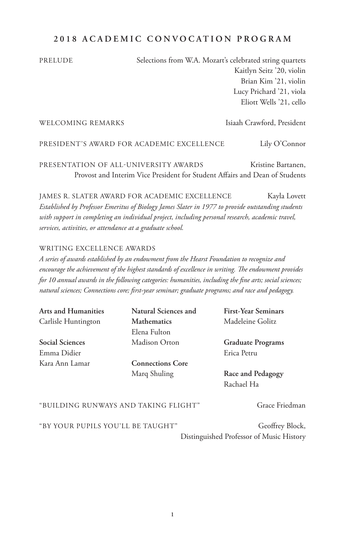## **2018 ACADEMIC CONVOCATION PROGRAM**

PRELUDE Selections from W.A. Mozart's celebrated string quartets Kaitlyn Seitz '20, violin Brian Kim '21, violin Lucy Prichard '21, viola Eliott Wells '21, cello

#### WELCOMING REMARKS Isiaah Crawford, President

PRESIDENT'S AWARD FOR ACADEMIC EXCELLENCE Lily O'Connor

PRESENTATION OF ALL-UNIVERSITY AWARDS Kristine Bartanen, Provost and Interim Vice President for Student Affairs and Dean of Students

JAMES R. SLATER AWARD FOR ACADEMIC EXCELLENCE Kayla Lovett *Established by Professor Emeritus of Biology James Slater in 1977 to provide outstanding students with support in completing an individual project, including personal research, academic travel, services, activities, or attendance at a graduate school.*

#### WRITING EXCELLENCE AWARDS

*A series of awards established by an endowment from the Hearst Foundation to recognize and encourage the achievement of the highest standards of excellence in writing. The endowment provides for 10 annual awards in the following categories: humanities, including the fine arts; social sciences; natural sciences; Connections core; first-year seminar; graduate programs; and race and pedagogy.*

**Arts and Humanities** Carlisle Huntington

**Social Sciences** Emma Didier Kara Ann Lamar **Natural Sciences and Mathematics** Elena Fulton Madison Orton

**Connections Core** Marq Shuling

**First-Year Seminars** Madeleine Golitz

**Graduate Programs** Erica Petru

**Race and Pedagogy** Rachael Ha

#### "BUILDING RUNWAYS AND TAKING FLIGHT" Grace Friedman

"BY YOUR PUPILS YOU'LL BE TAUGHT" Geoffrey Block,

Distinguished Professor of Music History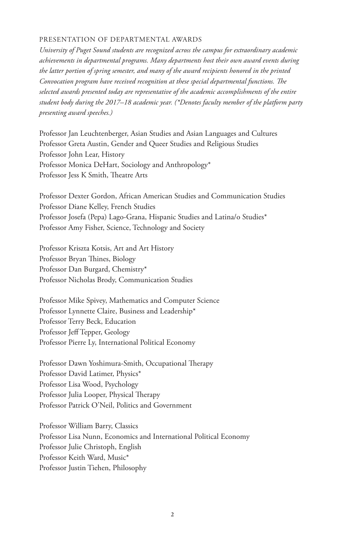#### PRESENTATION OF DEPARTMENTAL AWARDS

*University of Puget Sound students are recognized across the campus for extraordinary academic achievements in departmental programs. Many departments host their own award events during the latter portion of spring semester, and many of the award recipients honored in the printed Convocation program have received recognition at these special departmental functions. The selected awards presented today are representative of the academic accomplishments of the entire student body during the 2017–18 academic year. (\*Denotes faculty member of the platform party presenting award speeches.)*

Professor Jan Leuchtenberger, Asian Studies and Asian Languages and Cultures Professor Greta Austin, Gender and Queer Studies and Religious Studies Professor John Lear, History Professor Monica DeHart, Sociology and Anthropology\* Professor Jess K Smith, Theatre Arts

Professor Dexter Gordon, African American Studies and Communication Studies Professor Diane Kelley, French Studies Professor Josefa (Pepa) Lago-Grana, Hispanic Studies and Latina/o Studies\* Professor Amy Fisher, Science, Technology and Society

Professor Kriszta Kotsis, Art and Art History Professor Bryan Thines, Biology Professor Dan Burgard, Chemistry\* Professor Nicholas Brody, Communication Studies

Professor Mike Spivey, Mathematics and Computer Science Professor Lynnette Claire, Business and Leadership\* Professor Terry Beck, Education Professor Jeff Tepper, Geology Professor Pierre Ly, International Political Economy

Professor Dawn Yoshimura-Smith, Occupational Therapy Professor David Latimer, Physics\* Professor Lisa Wood, Psychology Professor Julia Looper, Physical Therapy Professor Patrick O'Neil, Politics and Government

Professor William Barry, Classics Professor Lisa Nunn, Economics and International Political Economy Professor Julie Christoph, English Professor Keith Ward, Music\* Professor Justin Tiehen, Philosophy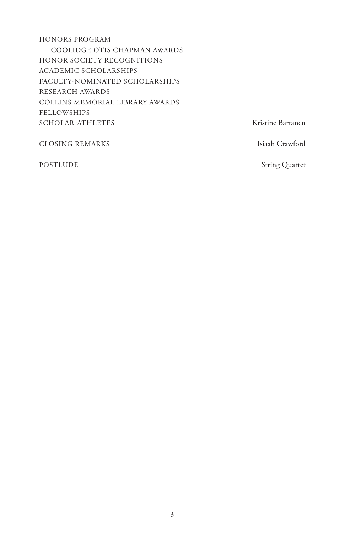HONORS PROGRAM COOLIDGE OTIS CHAPMAN AWARDS HONOR SOCIETY RECOGNITIONS ACADEMIC SCHOLARSHIPS FACULTY-NOMINATED SCHOLARSHIPS RESEARCH AWARDS COLLINS MEMORIAL LIBRARY AWARDS FELLOWSHIPS SCHOLAR-ATHLETES Kristine Bartanen

CLOSING REMARKS Isiaah Crawford

POSTLUDE String Quartet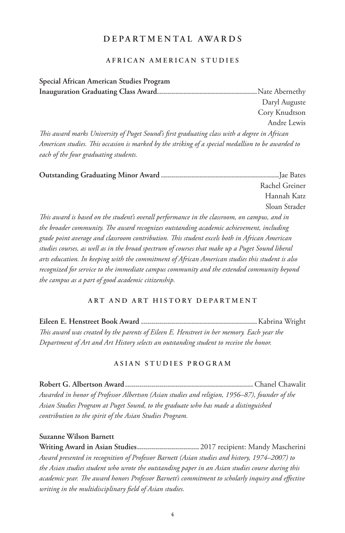## **DEPARTMENTAL AWARDS**

#### **AFRICAN AMERICAN STUDIES**

**Special African American Studies Program Inauguration Graduating Class Award..................................................**Nate Abernethy Daryl Auguste Cory Knudtson Andre Lewis *This award marks University of Puget Sound's first graduating class with a degree in African American studies. This occasion is marked by the striking of a special medallion to be awarded to each of the four graduating students.*

**Outstanding Graduating Minor Award ...........................................................**Jae Bates Rachel Greiner Hannah Katz Sloan Strader *This award is based on the student's overall performance in the classroom, on campus, and in* 

*the broader community. The award recognizes outstanding academic achievement, including grade point average and classroom contribution. This student excels both in African American studies courses, as well as in the broad spectrum of courses that make up a Puget Sound liberal arts education. In keeping with the commitment of African American studies this student is also recognized for service to the immediate campus community and the extended community beyond the campus as a part of good academic citizenship.*

#### **ART AND ART HISTORY DEPARTMENT**

**Eileen E. Henstreet Book Award ..........................................................**Kabrina Wright *This award was created by the parents of Eileen E. Henstreet in her memory. Each year the Department of Art and Art History selects an outstanding student to receive the honor.* 

#### **ASIAN STUDIES PROGRAM**

**Robert G. Albertson Award................................................................** Chanel Chawalit *Awarded in honor of Professor Albertson (Asian studies and religion, 1956–87), founder of the Asian Studies Program at Puget Sound, to the graduate who has made a distinguished contribution to the spirit of the Asian Studies Program.*

#### **Suzanne Wilson Barnett**

**Writing Award in Asian Studies...............................** 2017 recipient: Mandy Mascherini *Award presented in recognition of Professor Barnett (Asian studies and history, 1974–2007) to the Asian studies student who wrote the outstanding paper in an Asian studies course during this academic year. The award honors Professor Barnett's commitment to scholarly inquiry and effective writing in the multidisciplinary field of Asian studies.*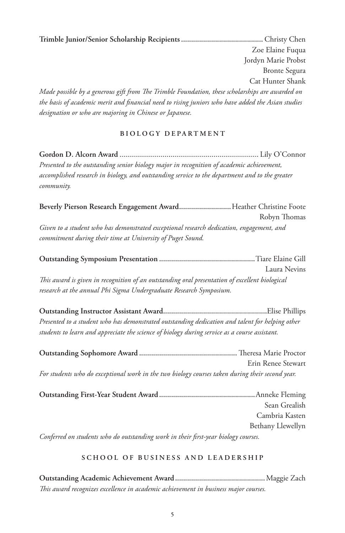**Trimble Junior/Senior Scholarship Recipients.........................................** Christy Chen Zoe Elaine Fuqua Jordyn Marie Probst Bronte Segura Cat Hunter Shank *Made possible by a generous gift from The Trimble Foundation, these scholarships are awarded on the basis of academic merit and financial need to rising juniors who have added the Asian studies designation or who are majoring in Chinese or Japanese.*

## **BIOLOGY DEPARTMENT**

**Gordon D. Alcorn Award** ....................................................................... Lily O'Connor *Presented to the outstanding senior biology major in recognition of academic achievement, accomplished research in biology, and outstanding service to the department and to the greater community.*

**Beverly Pierson Research Engagement Award..........................**Heather Christine Foote Robyn Thomas *Given to a student who has demonstrated exceptional research dedication, engagement, and commitment during their time at University of Puget Sound.*

**Outstanding Symposium Presentation ................................................**Tiare Elaine Gill Laura Nevins *This award is given in recognition of an outstanding oral presentation of excellent biological research at the annual Phi Sigma Undergraduate Research Symposium.*

**Outstanding Instructor Assistant Award....................................................**Elise Phillips *Presented to a student who has demonstrated outstanding dedication and talent for helping other students to learn and appreciate the science of biology during service as a course assistant.*

|                                                                                                 | Erin Renee Stewart |
|-------------------------------------------------------------------------------------------------|--------------------|
| For students who do exceptional work in the two biology courses taken during their second year. |                    |

|                                                                                    | Sean Grealish     |
|------------------------------------------------------------------------------------|-------------------|
|                                                                                    | Cambria Kasten    |
|                                                                                    | Bethany Llewellyn |
| Conferred on students who do outstanding work in their first-year biology courses. |                   |

## **SCHOOL OF BUSINESS AND LEADERSHIP**

**Outstanding Academic Achievement Award.............................................**Maggie Zach *This award recognizes excellence in academic achievement in business major courses.*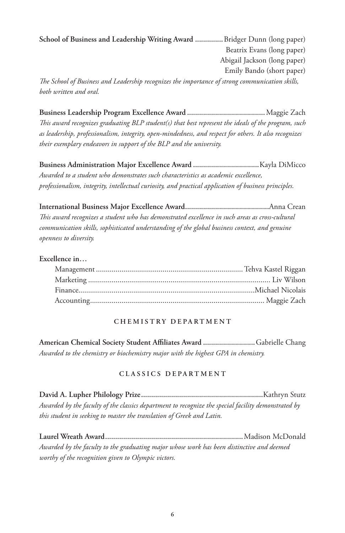**School of Business and Leadership Writing Award ..............**Bridger Dunn (long paper) Beatrix Evans (long paper) Abigail Jackson (long paper) Emily Bando (short paper) *The School of Business and Leadership recognizes the importance of strong communication skills,* 

*both written and oral.*

**Business Leadership Program Excellence Award .......................................**Maggie Zach *This award recognizes graduating BLP student(s) that best represent the ideals of the program, such as leadership, professionalism, integrity, open-mindedness, and respect for others. It also recognizes their exemplary endeavors in support of the BLP and the university.*

**Business Administration Major Excellence Award .................................**Kayla DiMicco *Awarded to a student who demonstrates such characteristics as academic excellence, professionalism, integrity, intellectual curiosity, and practical application of business principles.*

**International Business Major Excellence Award..........................................**Anna Crean *This award recognizes a student who has demonstrated excellence in such areas as cross-cultural communication skills, sophisticated understanding of the global business context, and genuine openness to diversity.*

## **Excellence in…**

### **CHEMISTRY DEPARTMENT**

**American Chemical Society Student Affiliates Award ..........................**Gabrielle Chang *Awarded to the chemistry or biochemistry major with the highest GPA in chemistry.*

### **CLASSICS DEPARTMENT**

**David A. Lupher Philology Prize.............................................................**Kathryn Stutz *Awarded by the faculty of the classics department to recognize the special facility demonstrated by this student in seeking to master the translation of Greek and Latin.*

**Laurel Wreath Award.....................................................................**Madison McDonald *Awarded by the faculty to the graduating major whose work has been distinctive and deemed worthy of the recognition given to Olympic victors.*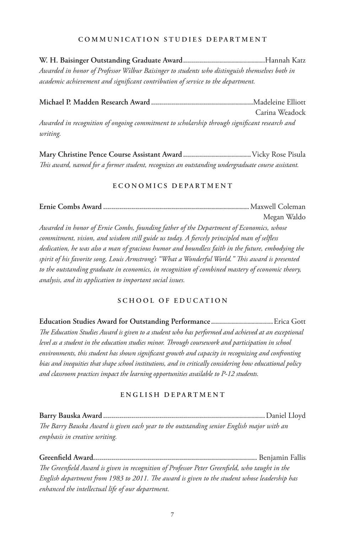#### **COMMUNICATION STUDIES DEPARTMENT**

**W. H. Baisinger Outstanding Graduate Award.........................................**Hannah Katz *Awarded in honor of Professor Wilbur Baisinger to students who distinguish themselves both in academic achievement and significant contribution of service to the department.*

**Michael P. Madden Research Award ...................................................**Madeleine Elliott Carina Weadock *Awarded in recognition of ongoing commitment to scholarship through significant research and writing.*

**Mary Christine Pence Course Assistant Award ..................................**Vicky Rose Pisula *This award, named for a former student, recognizes an outstanding undergraduate course assistant.*

#### **E C O N O M I C S D E P A R T M E N T**

**Ernie Combs Award .........................................................................** Maxwell Coleman Megan Waldo *Awarded in honor of Ernie Combs, founding father of the Department of Economics, whose commitment, vision, and wisdom still guide us today. A fiercely principled man of selfless dedication, he was also a man of gracious humor and boundless faith in the future, embodying the spirit of his favorite song, Louis Armstrong's "What a Wonderful World." This award is presented to the outstanding graduate in economics, in recognition of combined mastery of economic theory, analysis, and its application to important social issues.* 

### **SCHOOL OF EDUCATION**

**Education Studies Award for Outstanding Performance ...............................**Erica Gott *The Education Studies Award is given to a student who has performed and achieved at an exceptional level as a student in the education studies minor. Through coursework and participation in school environments, this student has shown significant growth and capacity in recognizing and confronting bias and inequities that shape school institutions, and in critically considering how educational policy and classroom practices impact the learning opportunities available to P-12 students.*

#### **ENGLISH DEPARTMENT**

**Barry Bauska Award .................................................................................**Daniel Lloyd *The Barry Bauska Award is given each year to the outstanding senior English major with an emphasis in creative writing.* 

**Greenfield Award..................................................................................** Benjamin Fallis *The Greenfield Award is given in recognition of Professor Peter Greenfield, who taught in the English department from 1983 to 2011. The award is given to the student whose leadership has enhanced the intellectual life of our department.*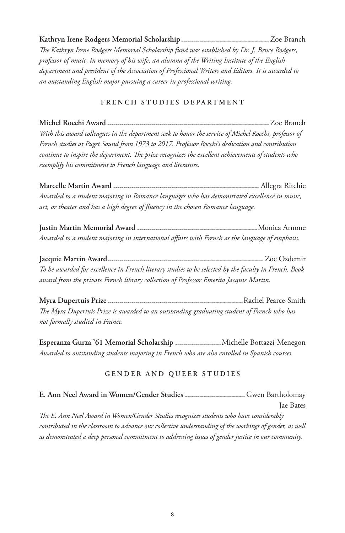**Kathryn Irene Rodgers Memorial Scholarship............................................**Zoe Branch *The Kathryn Irene Rodgers Memorial Scholarship fund was established by Dr. J. Bruce Rodgers, professor of music, in memory of his wife, an alumna of the Writing Institute of the English department and president of the Association of Professional Writers and Editors. It is awarded to an outstanding English major pursuing a career in professional writing.*

## **FRENCH STUDIES DEPARTMENT**

**Michel Rocchi Award .................................................................................**Zoe Branch *With this award colleagues in the department seek to honor the service of Michel Rocchi, professor of French studies at Puget Sound from 1973 to 2017. Professor Rocchi's dedication and contribution continue to inspire the department. The prize recognizes the excellent achievements of students who exemplify his commitment to French language and literature.*

**Marcelle Martin Award .........................................................................** Allegra Ritchie *Awarded to a student majoring in Romance languages who has demonstrated excellence in music, art, or theater and has a high degree of fluency in the chosen Romance language.*

**Justin Martin Memorial Award ............................................................**Monica Arnone *Awarded to a student majoring in international affairs with French as the language of emphasis.*

**Jacquie Martin Award..............................................................................** Zoe Ozdemir *To be awarded for excellence in French literary studies to be selected by the faculty in French. Book award from the private French library collection of Professor Emerita Jacquie Martin.*

**Myra Dupertuis Prize....................................................................**Rachel Pearce-Smith *The Myra Dupertuis Prize is awarded to an outstanding graduating student of French who has not formally studied in France.*

**Esperanza Gurza '61 Memorial Scholarship .......................**Michelle Bottazzi-Menegon *Awarded to outstanding students majoring in French who are also enrolled in Spanish courses.*

### **GENDER AND QUEER STUDIES**

|                                                                                                         | Jae Bates |
|---------------------------------------------------------------------------------------------------------|-----------|
| The E. Ann Neel Award in Women/Gender Studies recognizes students who have considerably                 |           |
| contributed in the classroom to advance our collective understanding of the workings of gender, as well |           |
| as demonstrated a deep personal commitment to addressing issues of gender justice in our community.     |           |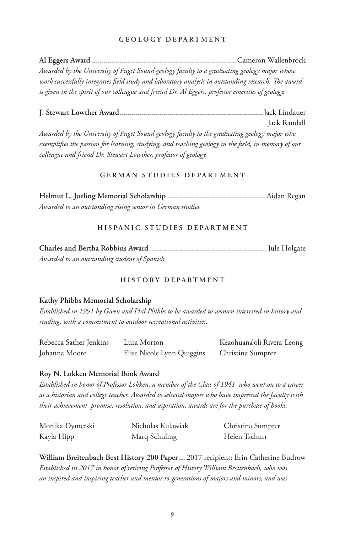#### **GEOLOGY DEPARTMENT**

**Al Eggers Award.........................................................................**Cameron Wallenbrock *Awarded by the University of Puget Sound geology faculty to a graduating geology major whose work successfully integrates field study and laboratory analysis in outstanding research. The award is given in the spirit of our colleague and friend Dr. Al Eggers, professor emeritus of geology.*

**J. Stewart Lowther Award........................................................................**Jack Lindauer Jack Randall *Awarded by the University of Puget Sound geology faculty to the graduating geology major who* 

*exemplifies the passion for learning, studying, and teaching geology in the field, in memory of our colleague and friend Dr. Stewart Lowther, professor of geology.*

#### **GERMAN STUDIES DEPARTMENT**

**Helmut L. Jueling Memorial Scholarship .................................................** Aidan Regan *Awarded to an outstanding rising senior in German studies.*

#### **HISPANIC STUDIES DEPARTMENT**

**Charles and Bertha Robbins Award...........................................................**Jule Holgate *Awarded to an outstanding student of Spanish.*

## **HISTORY DEPARTMENT**

#### **Kathy Phibbs Memorial Scholarship**

*Established in 1991 by Gwen and Phil Phibbs to be awarded to women interested in history and reading, with a commitment to outdoor recreational activities.*

| Rebecca Sather Jenkins | Lura Morton                | Keaohuana'oli Rivera-Leong |
|------------------------|----------------------------|----------------------------|
| Johanna Moore          | Elise Nicole Lynn Quiggins | Christina Sumprer          |

#### **Roy N. Lokken Memorial Book Award**

*Established in honor of Professor Lokken, a member of the Class of 1941, who went on to a career as a historian and college teacher. Awarded to selected majors who have impressed the faculty with their achievement, promise, resolution, and aspiration; awards are for the purchase of books.*

| Monika Dymerski | Nicholas Kulawiak | Christina Sumprer |
|-----------------|-------------------|-------------------|
| Kayla Hipp      | Marq Schuling     | Helen Tschurr     |

**William Breitenbach Best History 200 Paper...** 2017 recipient: Erin Catherine Budrow *Established in 2017 in honor of retiring Professor of History William Breitenbach, who was an inspired and inspiring teacher and mentor to generations of majors and minors, and was*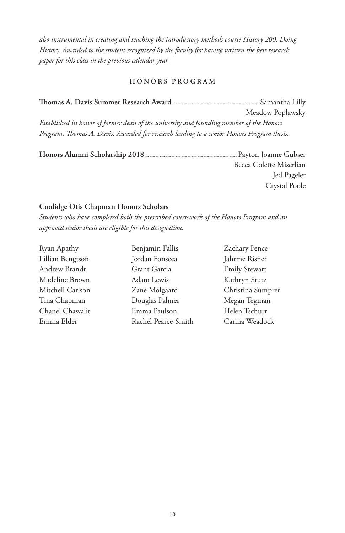*also instrumental in creating and teaching the introductory methods course History 200: Doing History. Awarded to the student recognized by the faculty for having written the best research paper for this class in the previous calendar year.* 

#### **HONORS PROGRAM**

**Thomas A. Davis Summer Research Award ...........................................** Samantha Lilly Meadow Poplawsky *Established in honor of former dean of the university and founding member of the Honors Program, Thomas A. Davis. Awarded for research leading to a senior Honors Program thesis.*

**Honors Alumni Scholarship 2018..............................................** Payton Joanne Gubser Becca Colette Miserlian Jed Pageler Crystal Poole

#### **Coolidge Otis Chapman Honors Scholars**

*Students who have completed both the prescribed coursework of the Honors Program and an approved senior thesis are eligible for this designation.*

Ryan Apathy Lillian Bengtson Andrew Brandt Madeline Brown Mitchell Carlson Tina Chapman Chanel Chawalit Emma Elder

Benjamin Fallis Jordan Fonseca Grant Garcia Adam Lewis Zane Molgaard Douglas Palmer Emma Paulson Rachel Pearce-Smith Zachary Pence Jahrme Risner Emily Stewart Kathryn Stutz Christina Sumprer Megan Tegman Helen Tschurr Carina Weadock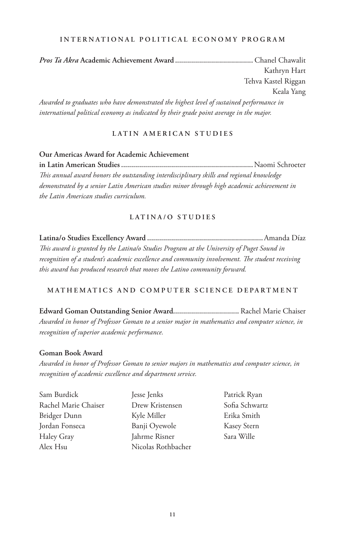#### **INTERNATIONAL POLITICAL ECONOMY PROGRAM**

*Pros Ta Akra* **Academic Achievement Award .......................................** Chanel Chawalit Kathryn Hart Tehva Kastel Riggan Keala Yang *Awarded to graduates who have demonstrated the highest level of sustained performance in* 

*international political economy as indicated by their grade point average in the major.*

#### **LATIN AMERICAN STUDIES**

**Our Americas Award for Academic Achievement in Latin American Studies..................................................................**Naomi Schroeter *This annual award honors the outstanding interdisciplinary skills and regional knowledge demonstrated by a senior Latin American studies minor through high academic achievement in the Latin American studies curriculum.* 

### **LATINA/O STUDIES**

**Latina/o Studies Excellency Award ..........................................................**Amanda Díaz *This award is granted by the Latina/o Studies Program at the University of Puget Sound in recognition of a student's academic excellence and community involvement. The student receiving this award has produced research that moves the Latino community forward.* 

### **MATHEMATICS AND COMPUTER SCIENCE DEPARTMENT**

**Edward Goman Outstanding Senior Award.................................** Rachel Marie Chaiser *Awarded in honor of Professor Goman to a senior major in mathematics and computer science, in recognition of superior academic performance.*

#### **Goman Book Award**

*Awarded in honor of Professor Goman to senior majors in mathematics and computer science, in recognition of academic excellence and department service.*

Sam Burdick Rachel Marie Chaiser Bridger Dunn Jordan Fonseca Haley Gray Alex Hsu

Jesse Jenks Drew Kristensen Kyle Miller Banji Oyewole Jahrme Risner Nicolas Rothbacher

Patrick Ryan Sofia Schwartz Erika Smith Kasey Stern Sara Wille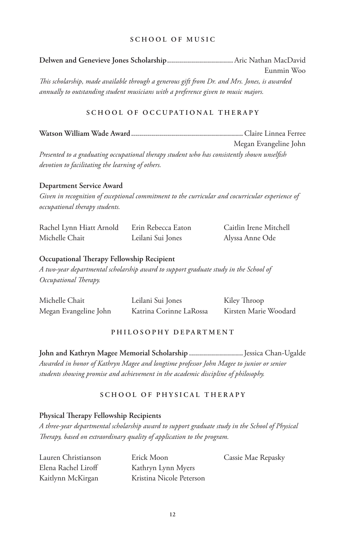#### **SCHOOL OF MUSIC**

**Delwen and Genevieve Jones Scholarship.................................** Aric Nathan MacDavid Eunmin Woo *This scholarship, made available through a generous gift from Dr. and Mrs. Jones, is awarded annually to outstanding student musicians with a preference given to music majors.*

#### **SCHOOL OF OCCUPATIONAL THERAPY**

**Watson William Wade Award........................................................**Claire Linnea Ferree

Megan Evangeline John *Presented to a graduating occupational therapy student who has consistently shown unselfish devotion to facilitating the learning of others.*

#### **Department Service Award**

*Given in recognition of exceptional commitment to the curricular and cocurricular experience of occupational therapy students.*

| Rachel Lynn Hiatt Arnold | Erin Rebecca Eaton | Caitlin Irene Mitchell |
|--------------------------|--------------------|------------------------|
| Michelle Chait           | Leilani Sui Jones  | Alyssa Anne Ode        |

#### **Occupational Therapy Fellowship Recipient**

*A two-year departmental scholarship award to support graduate study in the School of Occupational Therapy.* 

| Michelle Chait        | Leilani Sui Jones       | Kiley Throop          |
|-----------------------|-------------------------|-----------------------|
| Megan Evangeline John | Katrina Corinne LaRossa | Kirsten Marie Woodard |

#### **PHILOSOPHY DEPARTMENT**

**John and Kathryn Magee Memorial Scholarship ...........................**Jessica Chan-Ugalde *Awarded in honor of Kathryn Magee and longtime professor John Magee to junior or senior students showing promise and achievement in the academic discipline of philosophy.*

#### **SCHOOL OF PHYSICAL THERAPY**

#### **Physical Therapy Fellowship Recipients**

*A three-year departmental scholarship award to support graduate study in the School of Physical Therapy, based on extraordinary quality of application to the program.*

| Lauren Christianson | Erick Moon               | Cassie Mae Repasky |
|---------------------|--------------------------|--------------------|
| Elena Rachel Liroff | Kathryn Lynn Myers       |                    |
| Kaitlynn McKirgan   | Kristina Nicole Peterson |                    |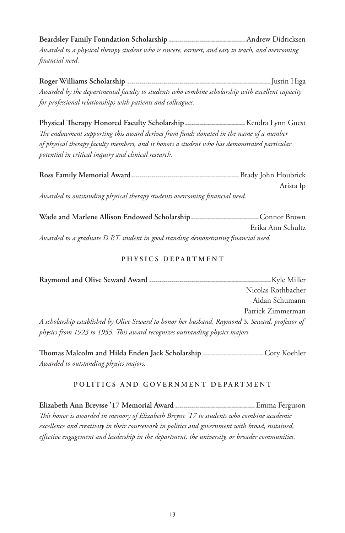**Beardsley Family Foundation Scholarship ......................................** Andrew Didricksen *Awarded to a physical therapy student who is sincere, earnest, and easy to teach, and overcoming financial need.*

**Roger Williams Scholarship ........................................................................**Justin Higa *Awarded by the departmental faculty to students who combine scholarship with excellent capacity for professional relationships with patients and colleagues.*

**Physical Therapy Honored Faculty Scholarship..............................**Kendra Lynn Guest *The endowment supporting this award derives from funds donated in the name of a number of physical therapy faculty members, and it honors a student who has demonstrated particular potential in critical inquiry and clinical research.*

|                                                                             | Arista Ip |
|-----------------------------------------------------------------------------|-----------|
| Awarded to outstanding physical therapy students overcoming financial need. |           |

**Wade and Marlene Allison Endowed Scholarship..................................**Connor Brown Erika Ann Schultz *Awarded to a graduate D.P.T. student in good standing demonstrating financial need.*

#### **PHYSICS DEPARTMENT**

**Raymond and Olive Seward Award .............................................................**Kyle Miller Nicolas Rothbacher Aidan Schumann Patrick Zimmerman *A scholarship established by Olive Seward to honor her husband, Raymond S. Seward, professor of physics from 1923 to 1955. This award recognizes outstanding physics majors.*

**Thomas Malcolm and Hilda Enden Jack Scholarship ..............................** Cory Koehler *Awarded to outstanding physics majors.*

#### **POLITICS AND GOVERNMENT DEPARTMENT**

**Elizabeth Ann Breysse '17 Memorial Award ........................................**Emma Ferguson *This honor is awarded in memory of Elizabeth Breysse '17 to students who combine academic excellence and creativity in their coursework in politics and government with broad, sustained, effective engagement and leadership in the department, the university, or broader communities.*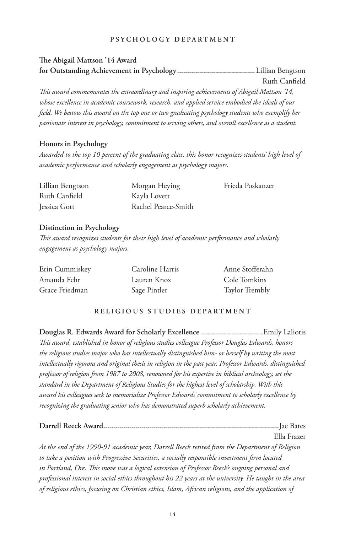#### **PSYCHOLOGY DEPARTMENT**

## **The Abigail Mattson '14 Award for Outstanding Achievement in Psychology.......................................**Lillian Bengtson Ruth Canfield *This award commemorates the extraordinary and inspiring achievements of Abigail Mattson '14, whose excellence in academic coursework, research, and applied service embodied the ideals of our field. We bestow this award on the top one or two graduating psychology students who exemplify her passionate interest in psychology, commitment to serving others, and overall excellence as a student.*

#### **Honors in Psychology**

*Awarded to the top 10 percent of the graduating class, this honor recognizes students' high level of academic performance and scholarly engagement as psychology majors.*

| Lillian Bengtson | Morgan Heying       | Frieda Poskanzer |
|------------------|---------------------|------------------|
| Ruth Canfield    | Kayla Lovett        |                  |
| Jessica Gott     | Rachel Pearce-Smith |                  |

### **Distinction in Psychology**

*This award recognizes students for their high level of academic performance and scholarly engagement as psychology majors.*

| Erin Cummiskey | Caroline Harris | Anne Stofferahn |
|----------------|-----------------|-----------------|
| Amanda Fehr    | Lauren Knox     | Cole Tomkins    |
| Grace Friedman | Sage Pintler    | Taylor Trembly  |

### **RELIGIOUS STUDIES DEPARTMENT**

**Douglas R. Edwards Award for Scholarly Excellence ...............................**Emily Laliotis *This award, established in honor of religious studies colleague Professor Douglas Edwards, honors the religious studies major who has intellectually distinguished him- or herself by writing the most intellectually rigorous and original thesis in religion in the past year. Professor Edwards, distinguished professor of religion from 1987 to 2008, renowned for his expertise in biblical archeology, set the standard in the Department of Religious Studies for the highest level of scholarship. With this award his colleagues seek to memorialize Professor Edwards' commitment to scholarly excellence by recognizing the graduating senior who has demonstrated superb scholarly achievement.*

|                                                                                                         | Ella Frazer |
|---------------------------------------------------------------------------------------------------------|-------------|
| At the end of the 1990-91 academic year, Darrell Reeck retired from the Department of Religion          |             |
| to take a position with Progressive Securities, a socially responsible investment firm located          |             |
| in Portland, Ore. This move was a logical extension of Professor Reeck's ongoing personal and           |             |
| professional interest in social ethics throughout his 22 years at the university. He taught in the area |             |
| of religious ethics, focusing on Christian ethics, Islam, African religions, and the application of     |             |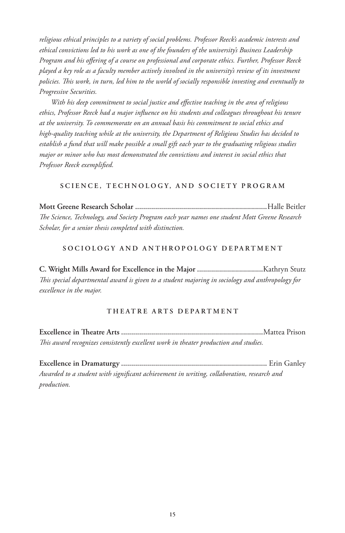*religious ethical principles to a variety of social problems. Professor Reeck's academic interests and ethical convictions led to his work as one of the founders of the university's Business Leadership Program and his offering of a course on professional and corporate ethics. Further, Professor Reeck played a key role as a faculty member actively involved in the university's review of its investment policies. This work, in turn, led him to the world of socially responsible investing and eventually to Progressive Securities.* 

*With his deep commitment to social justice and effective teaching in the area of religious ethics, Professor Reeck had a major influence on his students and colleagues throughout his tenure at the university. To commemorate on an annual basis his commitment to social ethics and high-quality teaching while at the university, the Department of Religious Studies has decided to establish a fund that will make possible a small gift each year to the graduating religious studies major or minor who has most demonstrated the convictions and interest in social ethics that Professor Reeck exemplified.*

#### **SCIENCE, TECHNOLOGY, AND SOCIETY PROGRAM**

**Mott Greene Research Scholar ..................................................................**Halle Beitler *The Science, Technology, and Society Program each year names one student Mott Greene Research Scholar, for a senior thesis completed with distinction.*

#### **SOCIOLOGY AND ANTHROPOLOGY DEPARTMENT**

**C. Wright Mills Award for Excellence in the Major .................................**Kathryn Stutz *This special departmental award is given to a student majoring in sociology and anthropology for excellence in the major.*

#### **THEATRE ARTS DEPARTMENT**

**Excellence in Theatre Arts .......................................................................**Mattea Prison *This award recognizes consistently excellent work in theater production and studies.*

**Excellence in Dramaturgy .........................................................................** Erin Ganley *Awarded to a student with significant achievement in writing, collaboration, research and production.*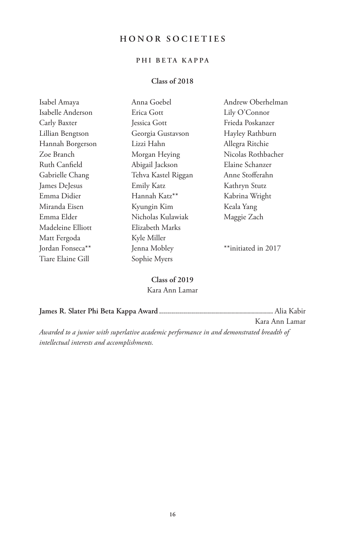## **HONOR SOCIETIES**

## **PHI BETA KAPPA**

## **Class of 2018**

| Isabel Amaya      | Anna Goebel         | Andrew Oberhelman   |
|-------------------|---------------------|---------------------|
| Isabelle Anderson | Erica Gott          | Lily O'Connor       |
| Carly Baxter      | Jessica Gott        | Frieda Poskanzer    |
| Lillian Bengtson  | Georgia Gustavson   | Hayley Rathburn     |
| Hannah Borgerson  | Lizzi Hahn          | Allegra Ritchie     |
| Zoe Branch        | Morgan Heying       | Nicolas Rothbacher  |
| Ruth Canfield     | Abigail Jackson     | Elaine Schanzer     |
| Gabrielle Chang   | Tehva Kastel Riggan | Anne Stofferahn     |
| James DeJesus     | Emily Katz          | Kathryn Stutz       |
| Emma Didier       | Hannah Katz**       | Kabrina Wright      |
| Miranda Eisen     | Kyungin Kim         | Keala Yang          |
| Emma Elder        | Nicholas Kulawiak   | Maggie Zach         |
| Madeleine Elliott | Elizabeth Marks     |                     |
| Matt Fergoda      | Kyle Miller         |                     |
| Jordan Fonseca**  | Jenna Mobley        | **initiated in 2017 |
| Tiare Elaine Gill | Sophie Myers        |                     |

**Class of 2019** Kara Ann Lamar

|                                                                                          | Kara Ann Lamar |
|------------------------------------------------------------------------------------------|----------------|
| Awarded to a junior with superlative academic performance in and demonstrated breadth of |                |
| intellectual interests and accomplishments.                                              |                |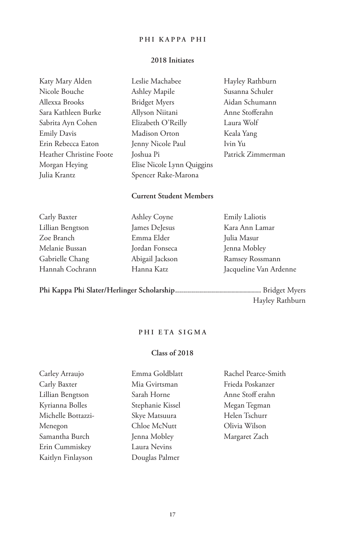### **PHI KAPPA PHI**

## **2018 Initiates**

| Katy Mary Alden         | Leslie Machabee            | Hayley Rathburn   |
|-------------------------|----------------------------|-------------------|
| Nicole Bouche           | Ashley Mapile              | Susanna Schuler   |
| Allexxa Brooks          | <b>Bridget Myers</b>       | Aidan Schumann    |
| Sara Kathleen Burke     | Allyson Niitani            | Anne Stofferahn   |
| Sabrita Ayn Cohen       | Elizabeth O'Reilly         | Laura Wolf        |
| <b>Emily Davis</b>      | Madison Orton              | Keala Yang        |
| Erin Rebecca Eaton      | Jenny Nicole Paul          | Ivin Yu           |
| Heather Christine Foote | Joshua Pi                  | Patrick Zimmerman |
| Morgan Heying           | Elise Nicole Lynn Quiggins |                   |
| Julia Krantz            | Spencer Rake-Marona        |                   |

## **Current Student Members**

| Carly Baxter     | <b>Ashley Coyne</b> | <b>Emily Laliotis</b>  |
|------------------|---------------------|------------------------|
| Lillian Bengtson | James DeJesus       | Kara Ann Lamar         |
| Zoe Branch       | Emma Elder          | Julia Masur            |
| Melanie Bussan   | Jordan Fonseca      | Jenna Mobley           |
| Gabrielle Chang  | Abigail Jackson     | Ramsey Rossmann        |
| Hannah Cochrann  | Hanna Katz          | Jacqueline Van Ardenne |

**Phi Kappa Phi Slater/Herlinger Scholarship...........................................** Bridget Myers Hayley Rathburn

## **PHI ETA SIGMA**

## **Class of 2018**

| Carley Arraujo     | Emma Goldblatt   | Rachel Pearce-Smith |
|--------------------|------------------|---------------------|
| Carly Baxter       | Mia Gvirtsman    | Frieda Poskanzer    |
| Lillian Bengtson   | Sarah Horne      | Anne Stoff erahn    |
| Kyrianna Bolles    | Stephanie Kissel | Megan Tegman        |
| Michelle Bottazzi- | Skye Matsuura    | Helen Tschurr       |
| Menegon            | Chloe McNutt     | Olivia Wilson       |
| Samantha Burch     | Jenna Mobley     | Margaret Zach       |
| Erin Cummiskey     | Laura Nevins     |                     |
| Kaitlyn Finlayson  | Douglas Palmer   |                     |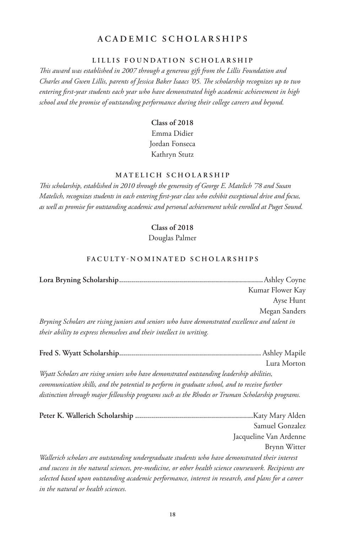## **ACADEMIC SCHOLARSHIPS**

#### **LILLIS FOUNDATION SCHOLARSHIP**

*This award was established in 2007 through a generous gift from the Lillis Foundation and Charles and Gwen Lillis, parents of Jessica Baker Isaacs '05. The scholarship recognizes up to two entering first-year students each year who have demonstrated high academic achievement in high school and the promise of outstanding performance during their college careers and beyond.*

## **Class of 2018** Emma Didier Jordan Fonseca Kathryn Stutz

#### **MATELICH SCHOLARSHIP**

*This scholarship, established in 2010 through the generosity of George E. Matelich '78 and Susan Matelich, recognizes students in each entering first-year class who exhibit exceptional drive and focus, as well as promise for outstanding academic and personal achievement while enrolled at Puget Sound.*

### **Class of 2018**

Douglas Palmer

#### FACULTY-NOMINATED SCHOLARSHIPS

|                                                                                                | Kumar Flower Kay |
|------------------------------------------------------------------------------------------------|------------------|
|                                                                                                | Ayse Hunt        |
|                                                                                                | Megan Sanders    |
| Bryning Scholars are rising juniors and seniors who have demonstrated excellence and talent in |                  |
| their ability to express themselves and their intellect in writing.                            |                  |

|                                                                                                       | Lura Morton            |
|-------------------------------------------------------------------------------------------------------|------------------------|
| Wyatt Scholars are rising seniors who have demonstrated outstanding leadership abilities,             |                        |
| communication skills, and the potential to perform in graduate school, and to receive further         |                        |
| distinction through major fellowship programs such as the Rhodes or Truman Scholarship programs.      |                        |
|                                                                                                       | Katy Mary Alden        |
|                                                                                                       | Samuel Gonzalez        |
|                                                                                                       | Jacqueline Van Ardenne |
|                                                                                                       | Brynn Witter           |
| Wallerich scholars are outstanding undergraduate students who have demonstrated their interest        |                        |
| and success in the natural sciences, pre-medicine, or other health science coursework. Recipients are |                        |
| selected based upon outstanding academic performance, interest in research, and plans for a career    |                        |
| in the natural or health sciences.                                                                    |                        |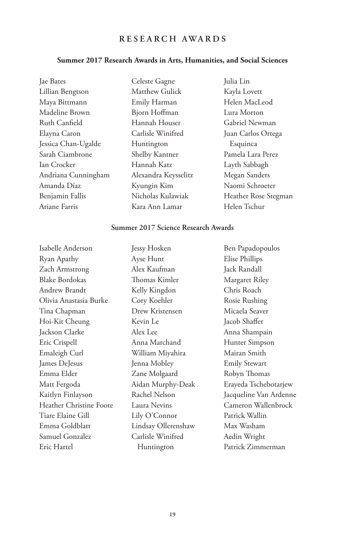## **RESEARCH AWARDS**

## **Summer 2017 Research Awards in Arts, Humanities, and Social Sciences**

| Jae Bates           | Celeste Gagne        | Julia Lin            |
|---------------------|----------------------|----------------------|
| Lillian Bengtson    | Matthew Gulick       | Kayla Lovett         |
| Maya Bittmann       | Emily Harman         | Helen MacLeod        |
| Madeline Brown      | Bjorn Hoffman        | Lura Morton          |
| Ruth Canfield       | Hannah Houser        | Gabriel Newman       |
| Elayna Caron        | Carlisle Winifred    | Juan Carlos Ortega   |
| Jessica Chan-Ugalde | Huntington           | Esquinca             |
| Sarah Ciambrone     | Shelby Kantner       | Pamela Lara Perez    |
| Ian Crocker         | Hannah Katz          | Layth Sabbagh        |
| Andriana Cunningham | Alexandra Keysselitz | Megan Sanders        |
| Amanda Díaz         | Kyungin Kim          | Naomi Schroeter      |
| Benjamin Fallis     | Nicholas Kulawiak    | Heather Rose Stegman |
| Ariane Farris       | Kara Ann Lamar       | Helen Tschur         |

## **Summer 2017 Science Research Awards**

| Isabelle Anderson       | Jessy Hosken        | Ben Papadopoulos       |
|-------------------------|---------------------|------------------------|
| Ryan Apathy             | Ayse Hunt           | Elise Phillips         |
| Zach Armstrong          | Alex Kaufman        | Jack Randall           |
| <b>Blake Bordokas</b>   | Thomas Kimler       | Margaret Riley         |
| Andrew Brandt           | Kelly Kingdon       | Chris Roach            |
| Olivia Anastasia Burke  | Cory Koehler        | Rosie Rushing          |
| Tina Chapman            | Drew Kristensen     | Micaela Seaver         |
| Hoi-Kit Cheung          | Kevin Le            | Jacob Shaffer          |
| Jackson Clarke          | Alex Lee            | Anna Shampain          |
| Eric Crispell           | Anna Marchand       | Hunter Simpson         |
| Emaleigh Curl           | William Miyahira    | Mairan Smith           |
| James DeJesus           | Jenna Mobley        | <b>Emily Stewart</b>   |
| Emma Elder              | Zane Molgaard       | Robyn Thomas           |
| Matt Fergoda            | Aidan Murphy-Deak   | Erayeda Tschebotarjew  |
| Kaitlyn Finlayson       | Rachel Nelson       | Jacqueline Van Ardenne |
| Heather Christine Foote | Laura Nevins        | Cameron Wallenbrock    |
| Tiare Elaine Gill       | Lily O'Connor       | Patrick Wallin         |
| Emma Goldblatt          | Lindsay Ollerenshaw | Max Washam             |
| Samuel Gonzalez         | Carlisle Winifred   | Aedin Wright           |
| Eric Hartel             | Huntington          | Patrick Zimmerman      |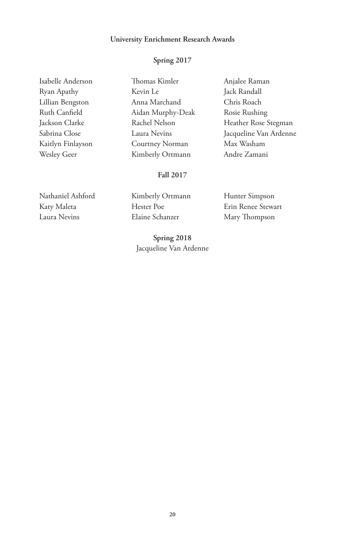#### **University Enrichment Research Awards**

#### **Spring 2017**

| Isabelle Anderson  |
|--------------------|
| Ryan Apathy        |
| Lillian Bengston   |
| Ruth Canfield      |
| Jackson Clarke     |
| Sabrina Close      |
| Kaitlyn Finlayson  |
| <b>Wesley Geer</b> |

Thomas Kimler Kevin Le Anna Marchand Aidan Murphy-Deak Rachel Nelson Laura Nevins Courtney Norman Kimberly Ortmann

Anjalee Raman Jack Randall Chris Roach Rosie Rushing Heather Rose Stegman Jacqueline Van Ardenne Max Washam Andre Zamani

### **Fall 2017**

Nathaniel Ashford Katy Maleta Laura Nevins

Kimberly Ortmann Hester Poe Elaine Schanzer

**Spring 2018** Jacqueline Van Ardenne

Hunter Simpson Erin Renee Stewart Mary Thompson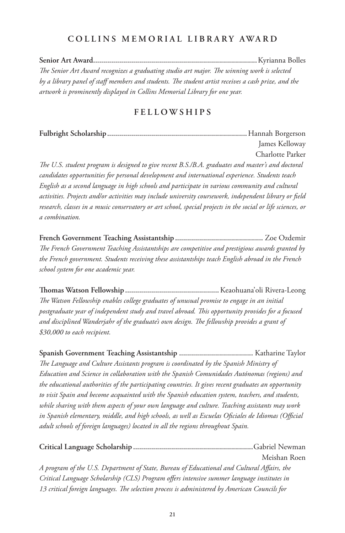## **COLLINS MEMORIAL LIBRARY AWARD**

**Senior Art Award..................................................................................**Kyrianna Bolles *The Senior Art Award recognizes a graduating studio art major. The winning work is selected by a library panel of staff members and students. The student artist receives a cash prize, and the artwork is prominently displayed in Collins Memorial Library for one year.*

## **FELLOWSHIPS**

**Fulbright Scholarship......................................................................**Hannah Borgerson James Kelloway Charlotte Parker *The U.S. student program is designed to give recent B.S./B.A. graduates and master's and doctoral candidates opportunities for personal development and international experience. Students teach English as a second language in high schools and participate in various community and cultural activities. Projects and/or activities may include university coursework, independent library or field research, classes in a music conservatory or art school, special projects in the social or life sciences, or a combination.*

**French Government Teaching Assistantship ............................................** Zoe Ozdemir *The French Government Teaching Assistantships are competitive and prestigious awards granted by the French government. Students receiving these assistantships teach English abroad in the French school system for one academic year.*

**Thomas Watson Fellowship ...............................................**Keaohuana'oli Rivera-Leong *The Watson Fellowship enables college graduates of unusual promise to engage in an initial postgraduate year of independent study and travel abroad. This opportunity provides for a focused and disciplined Wanderjahr of the graduate's own design. The fellowship provides a grant of \$30,000 to each recipient.*

**Spanish Government Teaching Assistantship .....................................** Katharine Taylor *The Language and Culture Assistants program is coordinated by the Spanish Ministry of Education and Science in collaboration with the Spanish Comunidades Autónomas (regions) and the educational authorities of the participating countries. It gives recent graduates an opportunity to visit Spain and become acquainted with the Spanish education system, teachers, and students, while sharing with them aspects of your own language and culture. Teaching assistants may work in Spanish elementary, middle, and high schools, as well as Escuelas Oficiales de Idiomas (Official adult schools of foreign languages) located in all the regions throughout Spain.*

**Critical Language Scholarship ............................................................**Gabriel Newman Meishan Roen *A program of the U.S. Department of State, Bureau of Educational and Cultural Affairs, the Critical Language Scholarship (CLS) Program offers intensive summer language institutes in 13 critical foreign languages. The selection process is administered by American Councils for*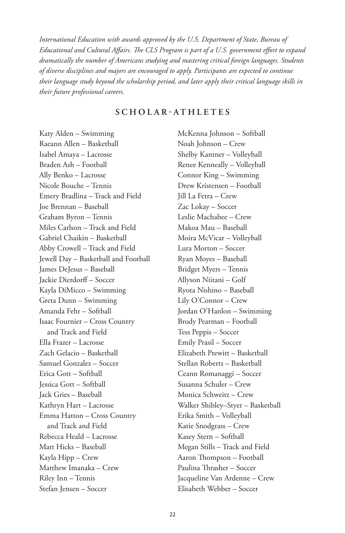*International Education with awards approved by the U.S. Department of State, Bureau of Educational and Cultural Affairs. The CLS Program is part of a U.S. government effort to expand dramatically the number of Americans studying and mastering critical foreign languages. Students of diverse disciplines and majors are encouraged to apply. Participants are expected to continue their language study beyond the scholarship period, and later apply their critical language skills in their future professional careers.*

## **SCHOLAR-ATHLETES**

Katy Alden – Swimming Raeann Allen – Basketball Isabel Amaya – Lacrosse Braden Ash – Football Ally Benko – Lacrosse Nicole Bouche – Tennis Emery Bradlina – Track and Field Joe Brennan – Baseball Graham Byron – Tennis Miles Carlson – Track and Field Gabriel Chaikin – Basketball Abby Crowell – Track and Field Jewell Day – Basketball and Football James DeJesus – Baseball Jackie Dierdorff – Soccer Kayla DiMicco – Swimming Greta Dunn – Swimming Amanda Fehr – Softball Isaac Fournier – Cross Country and Track and Field Ella Frazer – Lacrosse Zach Gelacio – Basketball Samuel Gonzalez – Soccer Erica Gott – Softball Jessica Gott – Softball Jack Gries – Baseball Kathryn Hart – Lacrosse Emma Hatton – Cross Country and Track and Field Rebecca Heald – Lacrosse Matt Hicks – Baseball Kayla Hipp – Crew Matthew Imanaka – Crew Riley Inn – Tennis Stefan Jensen – Soccer

McKenna Johnson – Softball Noah Johnson – Crew Shelby Kantner – Volleyball Renee Kenneally – Volleyball Connor King – Swimming Drew Kristensen – Football Jill La Fetra – Crew Zac Lokay – Soccer Leslie Machabee – Crew Makoa Mau – Baseball Moira McVicar – Volleyball Lura Morton – Soccer Ryan Moyes – Baseball Bridget Myers – Tennis Allyson Niitani – Golf Ryota Nishino – Baseball Lily O'Connor – Crew Jordan O'Hanlon – Swimming Brody Pearman – Football Tess Peppis – Soccer Emily Prasil – Soccer Elizabeth Prewitt – Basketball Stellan Roberts – Basketball Ceann Romanaggi – Soccer Susanna Schuler – Crew Monica Schweitz – Crew Walker Shibley–Styer – Basketball Erika Smith – Volleyball Katie Snodgrass – Crew Kasey Stern – Softball Megan Stills – Track and Field Aaron Thompson – Football Paulina Thrasher – Soccer Jacqueline Van Ardenne – Crew Elisabeth Webber – Soccer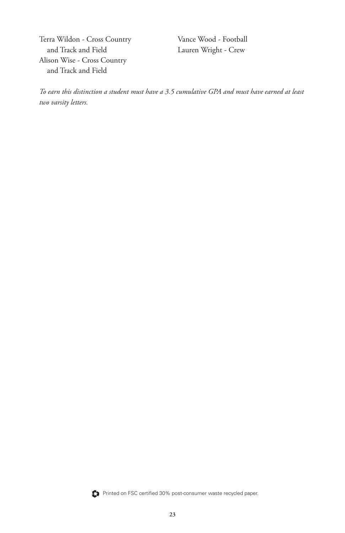Terra Wildon - Cross Country and Track and Field Alison Wise - Cross Country and Track and Field

Vance Wood - Football Lauren Wright - Crew

*To earn this distinction a student must have a 3.5 cumulative GPA and must have earned at least two varsity letters.*



Printed on FSC certified 30% post-consumer waste recycled paper.